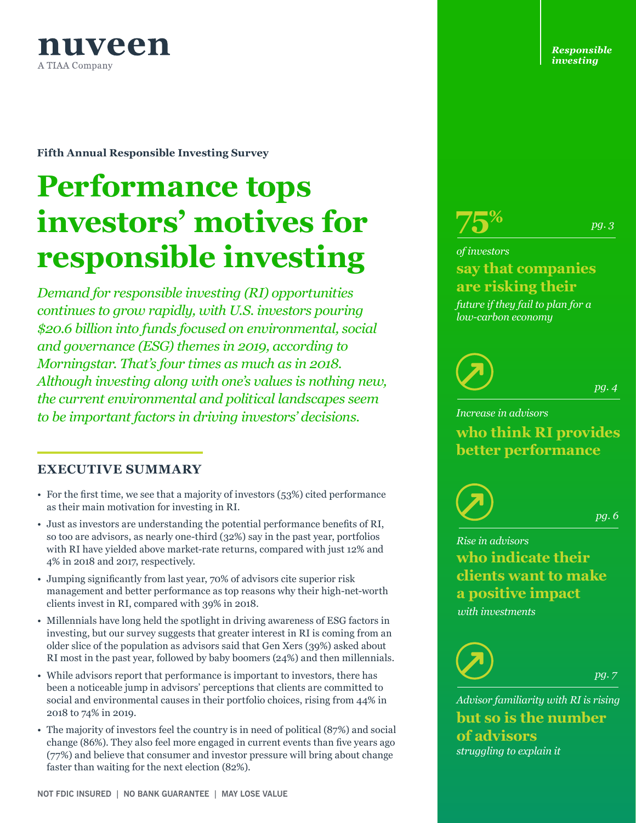

**Fifth Annual Responsible Investing Survey**

# **Performance tops investors' motives for responsible investing**

*Demand for responsible investing (RI) opportunities continues to grow rapidly, with U.S. investors pouring \$20.6 billion into funds focused on environmental, social and governance (ESG) themes in 2019, according to Morningstar. That's four times as much as in 2018. Although investing along with one's values is nothing new, the current environmental and political landscapes seem to be important factors in driving investors' decisions.* 

#### **EXECUTIVE SUMMARY**

- For the first time, we see that a majority of investors (53%) cited performance as their main motivation for investing in RI.
- Just as investors are understanding the potential performance benefits of RI, so too are advisors, as nearly one-third (32%) say in the past year, portfolios with RI have yielded above market-rate returns, compared with just 12% and 4% in 2018 and 2017, respectively.
- Jumping significantly from last year, 70% of advisors cite superior risk management and better performance as top reasons why their high-net-worth clients invest in RI, compared with 39% in 2018.
- Millennials have long held the spotlight in driving awareness of ESG factors in investing, but our survey suggests that greater interest in RI is coming from an older slice of the population as advisors said that Gen Xers (39%) asked about RI most in the past year, followed by baby boomers (24%) and then millennials.
- While advisors report that performance is important to investors, there has been a noticeable jump in advisors' perceptions that clients are committed to social and environmental causes in their portfolio choices, rising from 44% in 2018 to 74% in 2019.
- The majority of investors feel the country is in need of political (87%) and social change (86%). They also feel more engaged in current events than five years ago (77%) and believe that consumer and investor pressure will bring about change faster than waiting for the next election (82%).

*Responsible investing*



# **say that companies are risking their** *of investors*

*future if they fail to plan for a low-carbon economy*

*pg. 4*

*pg. 3*

*Increase in advisors* **who think RI provides better performance**

*pg. 6*

*pg. 7*

*Rise in advisors* **who indicate their clients want to make a positive impact** *with investments* 



*Advisor familiarity with RI is rising* **but so is the number of advisors** *struggling to explain it*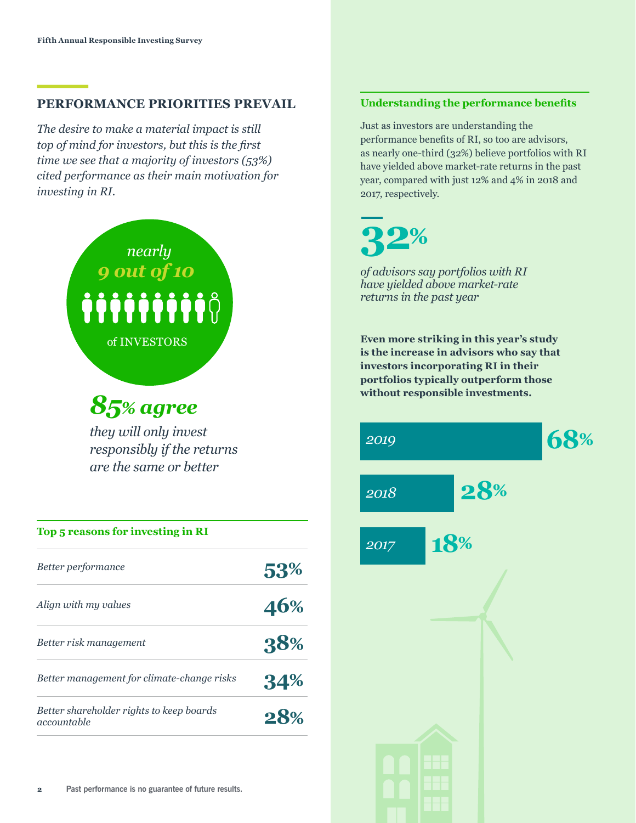### **PERFORMANCE PRIORITIES PREVAIL**

*The desire to make a material impact is still top of mind for investors, but this is the first time we see that a majority of investors (53%) cited performance as their main motivation for investing in RI.* 



# *85% agree*

*they will only invest responsibly if the returns are the same or better*

| Top 5 reasons for investing in RI                       |     |  |
|---------------------------------------------------------|-----|--|
| Better performance                                      | 53% |  |
| Align with my values                                    | 46% |  |
| Better risk management                                  | 38% |  |
| Better management for climate-change risks              | 34% |  |
| Better shareholder rights to keep boards<br>accountable | 28% |  |

#### **Understanding the performance benefits**

Just as investors are understanding the performance benefits of RI, so too are advisors, as nearly one-third (32%) believe portfolios with RI have yielded above market-rate returns in the past year, compared with just 12% and 4% in 2018 and 2017, respectively.



*of advisors say portfolios with RI have yielded above market-rate returns in the past year*

**Even more striking in this year's study is the increase in advisors who say that investors incorporating RI in their portfolios typically outperform those without responsible investments.** 

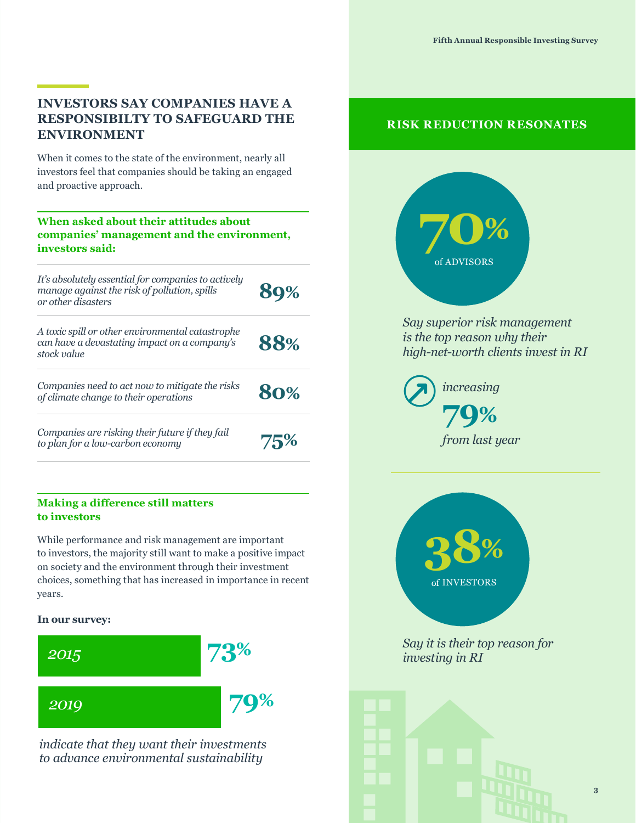# **INVESTORS SAY COMPANIES HAVE A RESPONSIBILTY TO SAFEGUARD THE ENVIRONMENT**

When it comes to the state of the environment, nearly all investors feel that companies should be taking an engaged and proactive approach.

# **When asked about their attitudes about companies' management and the environment, investors said:**

*It's absolutely essential for companies to actively manage against the risk of pollution, spills or other disasters* **89%**

*A toxic spill or other environmental catastrophe can have a devastating impact on a company's stock value* **88%**

*Companies need to act now to mitigate the risks of climate change to their operations* **80%**

*Companies are risking their future if they fail to plan for a low-carbon economy* **75%**

#### **Making a difference still matters to investors**

While performance and risk management are important to investors, the majority still want to make a positive impact on society and the environment through their investment choices, something that has increased in importance in recent years.

#### **In our survey:**



*indicate that they want their investments to advance environmental sustainability*

## **RISK REDUCTION RESONATES**



*Say superior risk management is the top reason why their high-net-worth clients invest in RI*

> **79%** *increasing from last year*



*Say it is their top reason for investing in RI*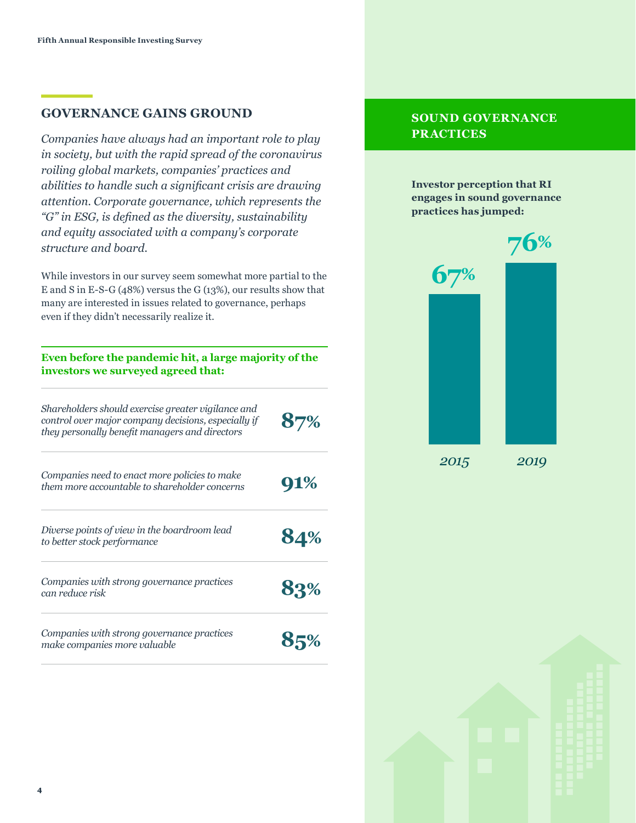#### **GOVERNANCE GAINS GROUND**

*Companies have always had an important role to play in society, but with the rapid spread of the coronavirus roiling global markets, companies' practices and abilities to handle such a significant crisis are drawing attention. Corporate governance, which represents the "G" in ESG, is defined as the diversity, sustainability and equity associated with a company's corporate structure and board.* 

While investors in our survey seem somewhat more partial to the E and S in E-S-G (48%) versus the G (13%), our results show that many are interested in issues related to governance, perhaps even if they didn't necessarily realize it.

#### **Even before the pandemic hit, a large majority of the investors we surveyed agreed that:**

| Shareholders should exercise greater vigilance and<br>control over major company decisions, especially if<br>they personally benefit managers and directors | 87% |
|-------------------------------------------------------------------------------------------------------------------------------------------------------------|-----|
| Companies need to enact more policies to make<br>them more accountable to shareholder concerns                                                              | 91% |
| Diverse points of view in the boardroom lead<br>to better stock performance                                                                                 | 84% |
| Companies with strong governance practices<br>can reduce risk                                                                                               | 83% |
| Companies with strong governance practices<br>make companies more valuable                                                                                  |     |

#### **SOUND GOVERNANCE PRACTICES**

**Investor perception that RI engages in sound governance practices has jumped:** 



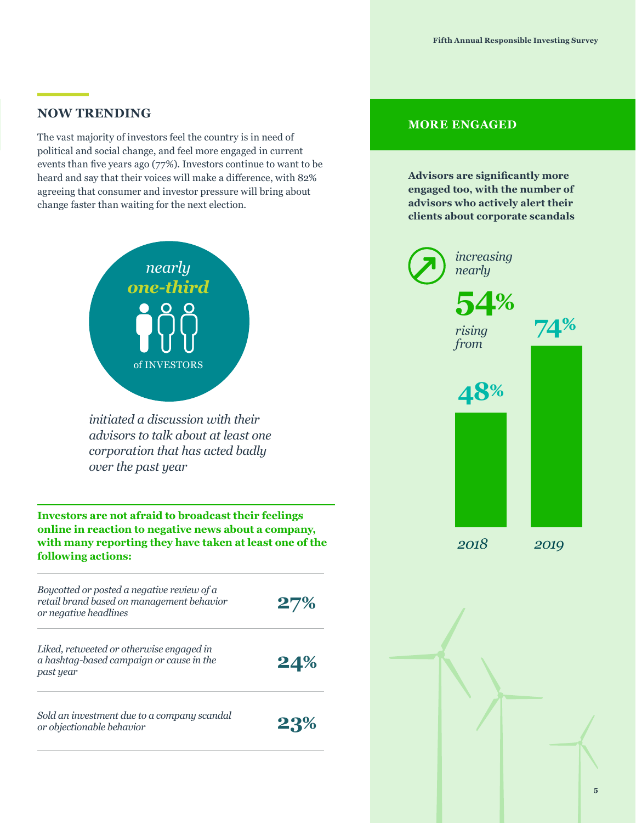#### **NOW TRENDING**

The vast majority of investors feel the country is in need of political and social change, and feel more engaged in current events than five years ago (77%). Investors continue to want to be heard and say that their voices will make a difference, with 82% agreeing that consumer and investor pressure will bring about change faster than waiting for the next election.



*initiated a discussion with their advisors to talk about at least one corporation that has acted badly over the past year*

**Investors are not afraid to broadcast their feelings online in reaction to negative news about a company, with many reporting they have taken at least one of the following actions:** 



### **MORE ENGAGED**

**Advisors are significantly more engaged too, with the number of advisors who actively alert their clients about corporate scandals** 

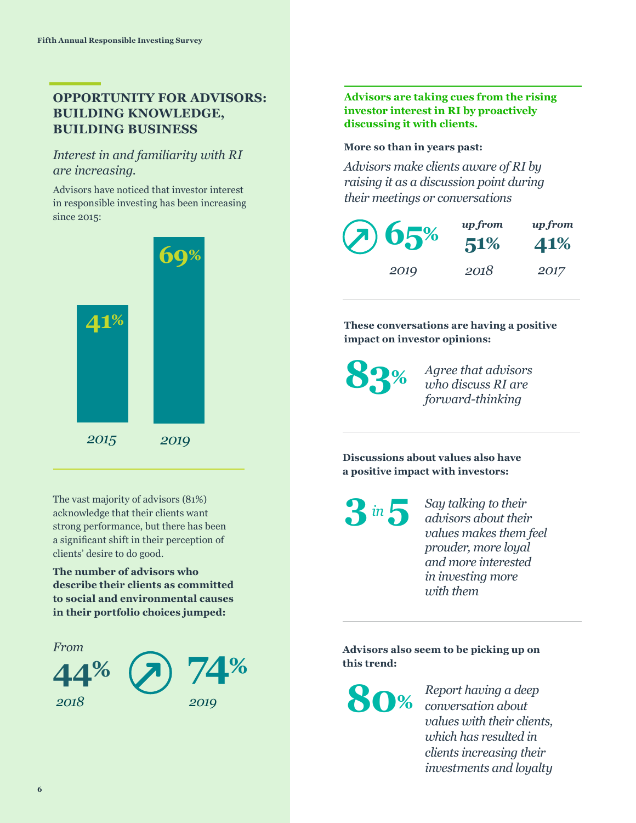# **OPPORTUNITY FOR ADVISORS: BUILDING KNOWLEDGE, BUILDING BUSINESS**

### *Interest in and familiarity with RI are increasing.*

Advisors have noticed that investor interest in responsible investing has been increasing since 2015:



The vast majority of advisors (81%) acknowledge that their clients want strong performance, but there has been a significant shift in their perception of clients' desire to do good.

**The number of advisors who describe their clients as committed to social and environmental causes in their portfolio choices jumped:**





#### **More so than in years past:**

*Advisors make clients aware of RI by raising it as a discussion point during their meetings or conversations*

| (2)65% | up from<br>51% | <i>upfrom</i><br>41% |
|--------|----------------|----------------------|
| 2019   | 2018           | 2017                 |

**These conversations are having a positive impact on investor opinions:** 

**83%**

*Agree that advisors who discuss RI are forward-thinking*

**Discussions about values also have a positive impact with investors:**

*Say talking to their*  **3***in* **5** *say talking to their advisors about their values makes them feel prouder, more loyal and more interested in investing more with them*

**Advisors also seem to be picking up on this trend:** 

**80%** *Report having a deep conversation about values with their clients, which has resulted in clients increasing their investments and loyalty*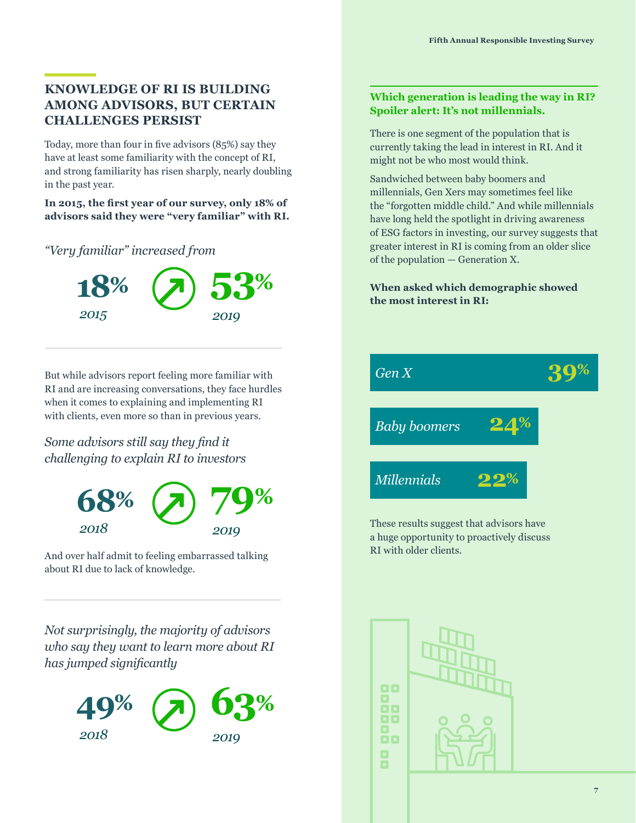# **KNOWLEDGE OF RI IS BUILDING AMONG ADVISORS, BUT CERTAIN CHALLENGES PERSIST**

Today, more than four in five advisors (85%) say they have at least some familiarity with the concept of RI, and strong familiarity has risen sharply, nearly doubling in the past year.

**In 2015, the first year of our survey, only 18% of advisors said they were "very familiar" with RI.** 

*"Very familiar" increased from* 



But while advisors report feeling more familiar with RI and are increasing conversations, they face hurdles when it comes to explaining and implementing RI with clients, even more so than in previous years.

*Some advisors still say they find it challenging to explain RI to investors*



And over half admit to feeling embarrassed talking about RI due to lack of knowledge.

*Not surprisingly, the majority of advisors who say they want to learn more about RI has jumped significantly*



#### **Which generation is leading the way in RI? Spoiler alert: It's not millennials.**

There is one segment of the population that is currently taking the lead in interest in RI. And it might not be who most would think.

Sandwiched between baby boomers and millennials, Gen Xers may sometimes feel like the "forgotten middle child." And while millennials have long held the spotlight in driving awareness of ESG factors in investing, our survey suggests that greater interest in RI is coming from an older slice of the population — Generation X.

#### **When asked which demographic showed the most interest in RI:**



These results suggest that advisors have a huge opportunity to proactively discuss RI with older clients.